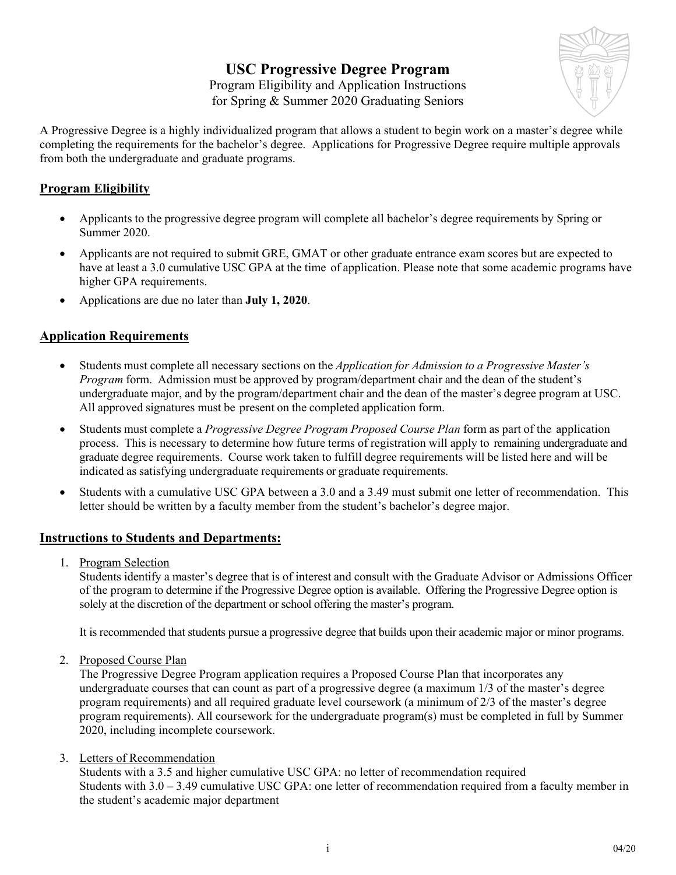# **USC Progressive Degree Program**



Program Eligibility and Application Instructions for Spring & Summer 2020 Graduating Seniors

A Progressive Degree is a highly individualized program that allows a student to begin work on a master's degree while completing the requirements for the bachelor's degree. Applications for Progressive Degree require multiple approvals from both the undergraduate and graduate programs.

### **Program Eligibility**

- Applicants to the progressive degree program will complete all bachelor's degree requirements by Spring or Summer 2020.
- Applicants are not required to submit GRE, GMAT or other graduate entrance exam scores but are expected to have at least a 3.0 cumulative USC GPA at the time of application. Please note that some academic programs have higher GPA requirements.
- Applications are due no later than **July 1, 2020**.

## **Application Requirements**

- Students must complete all necessary sections on the *Application for Admission to a Progressive Master's Program* form. Admission must be approved by program/department chair and the dean of the student's undergraduate major, and by the program/department chair and the dean of the master's degree program at USC. All approved signatures must be present on the completed application form.
- Students must complete a *Progressive Degree Program Proposed Course Plan* form as part of the application process. This is necessary to determine how future terms of registration will apply to remaining undergraduate and graduate degree requirements. Course work taken to fulfill degree requirements will be listed here and will be indicated as satisfying undergraduate requirements or graduate requirements.
- Students with a cumulative USC GPA between a 3.0 and a 3.49 must submit one letter of recommendation. This letter should be written by a faculty member from the student's bachelor's degree major.

### **Instructions to Students and Departments:**

1. Program Selection

Students identify a master's degree that is of interest and consult with the Graduate Advisor or Admissions Officer of the program to determine if the Progressive Degree option is available. Offering the Progressive Degree option is solely at the discretion of the department or school offering the master's program.

It is recommended that students pursue a progressive degree that builds upon their academic major or minor programs.

2. Proposed Course Plan

The Progressive Degree Program application requires a Proposed Course Plan that incorporates any undergraduate courses that can count as part of a progressive degree (a maximum 1/3 of the master's degree program requirements) and all required graduate level coursework (a minimum of 2/3 of the master's degree program requirements). All coursework for the undergraduate program(s) must be completed in full by Summer 2020, including incomplete coursework.

#### 3. Letters of Recommendation

Students with a 3.5 and higher cumulative USC GPA: no letter of recommendation required Students with 3.0 – 3.49 cumulative USC GPA: one letter of recommendation required from a faculty member in the student's academic major department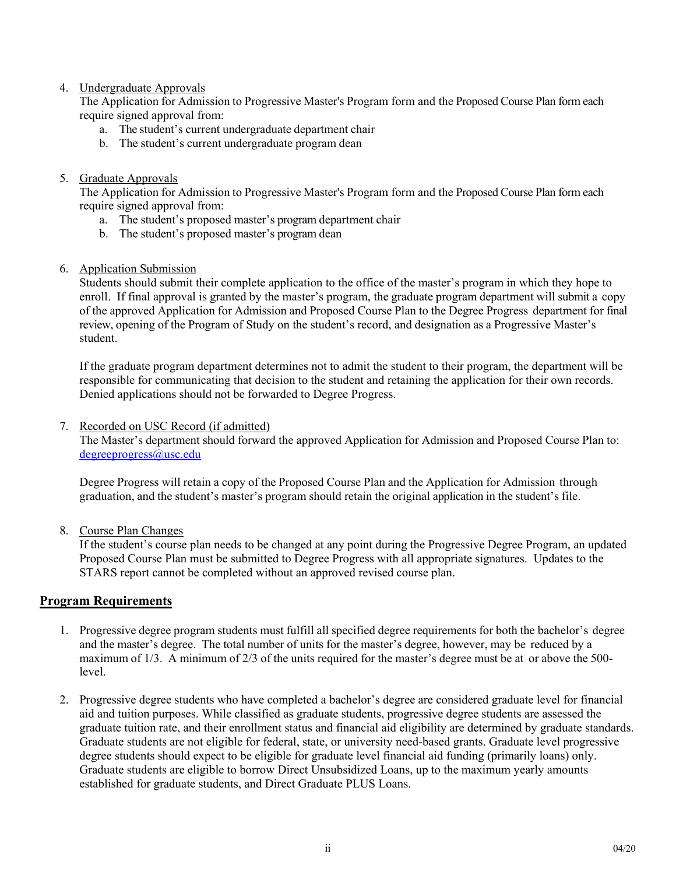#### 4. Undergraduate Approvals

The Application for Admission to Progressive Master's Program form and the Proposed Course Plan form each require signed approval from:

- a. The student's current undergraduate department chair
- b. The student's current undergraduate program dean

#### 5. Graduate Approvals

The Application for Admission to Progressive Master's Program form and the Proposed Course Plan form each require signed approval from:

- a. The student's proposed master's program department chair
- b. The student's proposed master's program dean
- 6. Application Submission

Students should submit their complete application to the office of the master's program in which they hope to enroll. If final approval is granted by the master's program, the graduate program department will submit a copy of the approved Application for Admission and Proposed Course Plan to the Degree Progress department for final review, opening of the Program of Study on the student's record, and designation as a Progressive Master's student.

If the graduate program department determines not to admit the student to their program, the department will be responsible for communicating that decision to the student and retaining the application for their own records. Denied applications should not be forwarded to Degree Progress.

#### 7. Recorded on USC Record (if admitted)

The Master's department should forward the approved Application for Admission and Proposed Course Plan to: [degreeprogress@usc.edu](mailto:degreeprogress@usc.edu)

Degree Progress will retain a copy of the Proposed Course Plan and the Application for Admission through graduation, and the student's master's program should retain the original application in the student's file.

8. Course Plan Changes

If the student's course plan needs to be changed at any point during the Progressive Degree Program, an updated Proposed Course Plan must be submitted to Degree Progress with all appropriate signatures. Updates to the STARS report cannot be completed without an approved revised course plan.

#### **Program Requirements**

- 1. Progressive degree program students must fulfill all specified degree requirements for both the bachelor's degree and the master's degree. The total number of units for the master's degree, however, may be reduced by a maximum of 1/3. A minimum of 2/3 of the units required for the master's degree must be at or above the 500 level.
- 2. Progressive degree students who have completed a bachelor's degree are considered graduate level for financial aid and tuition purposes. While classified as graduate students, progressive degree students are assessed the graduate tuition rate, and their enrollment status and financial aid eligibility are determined by graduate standards. Graduate students are not eligible for federal, state, or university need-based grants. Graduate level progressive degree students should expect to be eligible for graduate level financial aid funding (primarily loans) only. Graduate students are eligible to borrow Direct Unsubsidized Loans, up to the maximum yearly amounts established for graduate students, and Direct Graduate PLUS Loans.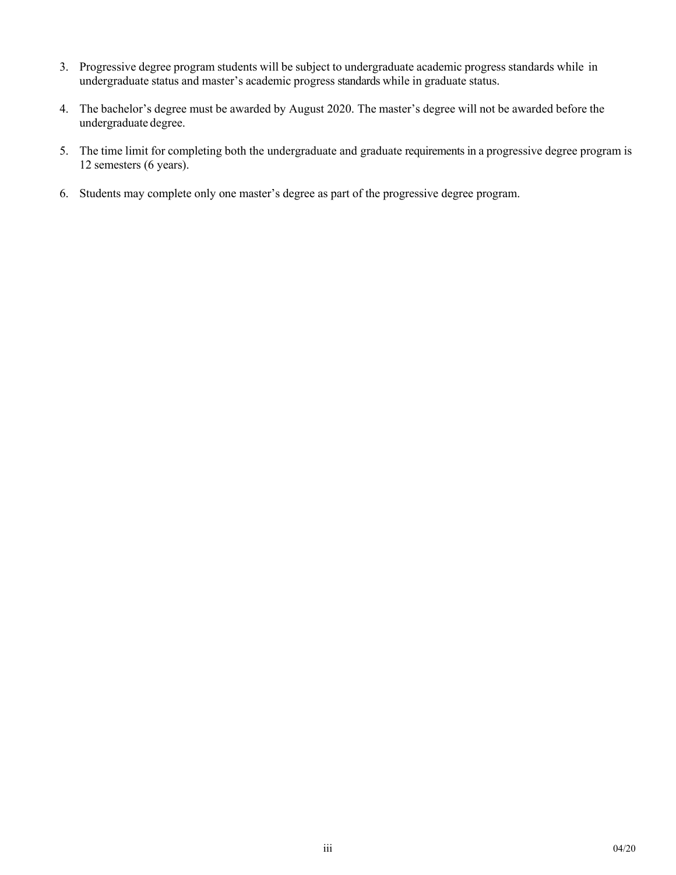- 3. Progressive degree program students will be subject to undergraduate academic progress standards while in undergraduate status and master's academic progress standards while in graduate status.
- 4. The bachelor's degree must be awarded by August 2020. The master's degree will not be awarded before the undergraduate degree.
- 5. The time limit for completing both the undergraduate and graduate requirements in a progressive degree program is 12 semesters (6 years).
- 6. Students may complete only one master's degree as part of the progressive degree program.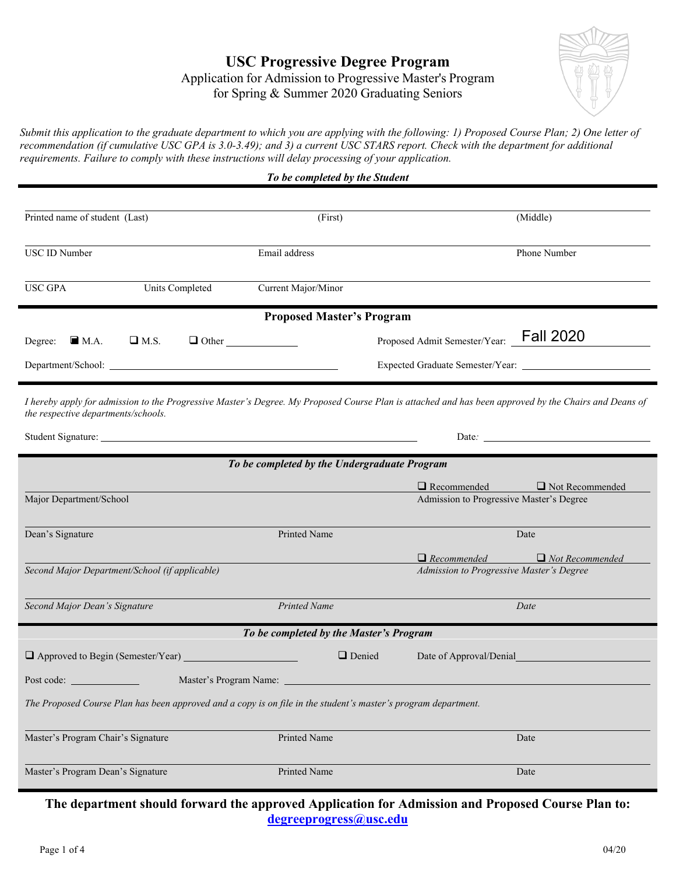## **USC Progressive Degree Program** Application for Admission to Progressive Master's Program for Spring & Summer 2020 Graduating Seniors



*Submit this application to the graduate department to which you are applying with the following: 1) Proposed Course Plan; 2) One letter of recommendation (if cumulative USC GPA is 3.0-3.49); and 3) a current USC STARS report. Check with the department for additional requirements. Failure to comply with these instructions will delay processing of your application.*

|                                                 |                 | To be completed by the Student                                                                                                                        |                                          |                                                                                                                                                                                                                                |
|-------------------------------------------------|-----------------|-------------------------------------------------------------------------------------------------------------------------------------------------------|------------------------------------------|--------------------------------------------------------------------------------------------------------------------------------------------------------------------------------------------------------------------------------|
|                                                 |                 |                                                                                                                                                       |                                          |                                                                                                                                                                                                                                |
| Printed name of student (Last)                  |                 | (First)                                                                                                                                               |                                          | (Middle)                                                                                                                                                                                                                       |
| <b>USC ID Number</b>                            |                 | Email address                                                                                                                                         |                                          | Phone Number                                                                                                                                                                                                                   |
| <b>USC GPA</b>                                  | Units Completed | Current Major/Minor                                                                                                                                   |                                          |                                                                                                                                                                                                                                |
|                                                 |                 | <b>Proposed Master's Program</b>                                                                                                                      |                                          |                                                                                                                                                                                                                                |
| Degree: $\blacksquare$ M.A.                     | $\Box$ M.S.     | $\Box$ Other                                                                                                                                          | Proposed Admit Semester/Year: Fall 2020  |                                                                                                                                                                                                                                |
|                                                 |                 |                                                                                                                                                       |                                          |                                                                                                                                                                                                                                |
| the respective departments/schools.             |                 | I hereby apply for admission to the Progressive Master's Degree. My Proposed Course Plan is attached and has been approved by the Chairs and Deans of |                                          |                                                                                                                                                                                                                                |
|                                                 |                 |                                                                                                                                                       |                                          | Date: the contract of the contract of the contract of the contract of the contract of the contract of the contract of the contract of the contract of the contract of the contract of the contract of the contract of the cont |
|                                                 |                 | To be completed by the Undergraduate Program                                                                                                          |                                          |                                                                                                                                                                                                                                |
| Major Department/School                         |                 |                                                                                                                                                       | $\Box$ Recommended                       | $\Box$ Not Recommended                                                                                                                                                                                                         |
|                                                 |                 |                                                                                                                                                       | Admission to Progressive Master's Degree |                                                                                                                                                                                                                                |
| Dean's Signature                                |                 | Printed Name                                                                                                                                          |                                          | Date                                                                                                                                                                                                                           |
|                                                 |                 |                                                                                                                                                       | $\Box$ Recommended                       | $\Box$ Not Recommended                                                                                                                                                                                                         |
| Second Major Department/School (if applicable)  |                 |                                                                                                                                                       | Admission to Progressive Master's Degree |                                                                                                                                                                                                                                |
| Second Major Dean's Signature                   |                 | <b>Printed Name</b>                                                                                                                                   |                                          | Date                                                                                                                                                                                                                           |
|                                                 |                 | To be completed by the Master's Program                                                                                                               |                                          |                                                                                                                                                                                                                                |
| $\Box$ Approved to Begin (Semester/Year) $\Box$ |                 | $\Box$ Denied                                                                                                                                         | Date of Approval/Denial                  |                                                                                                                                                                                                                                |
|                                                 |                 | Master's Program Name: ______________                                                                                                                 |                                          |                                                                                                                                                                                                                                |
|                                                 |                 | The Proposed Course Plan has been approved and a copy is on file in the student's master's program department.                                        |                                          |                                                                                                                                                                                                                                |
| Master's Program Chair's Signature              |                 | Printed Name                                                                                                                                          |                                          | Date                                                                                                                                                                                                                           |
| Master's Program Dean's Signature               |                 | Printed Name                                                                                                                                          |                                          | Date                                                                                                                                                                                                                           |

**The department should forward the approved Application for Admission and Proposed Course Plan to: [degreeprogress@usc.edu](mailto:degreeprogress@usc.edu)**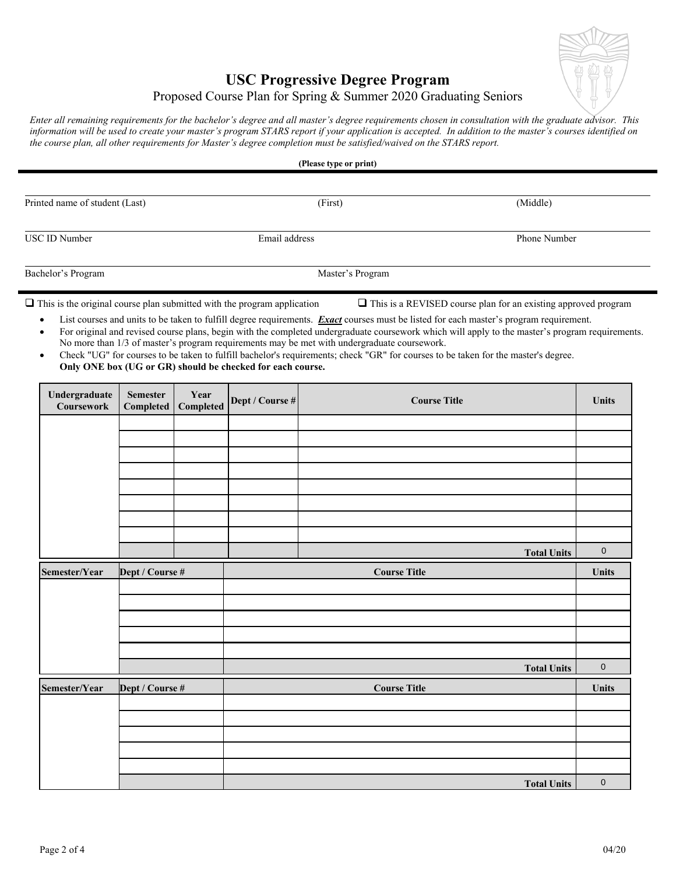

## **USC Progressive Degree Program**

## Proposed Course Plan for Spring & Summer 2020 Graduating Seniors

*Enter all remaining requirements for the bachelor's degree and all master's degree requirements chosen in consultation with the graduate advisor. This information will be used to create your master's program STARS report if your application is accepted. In addition to the master's courses identified on the course plan, all other requirements for Master's degree completion must be satisfied/waived on the STARS report.*

| Printed name of student (Last) | (First)          | (Middle)     |  |
|--------------------------------|------------------|--------------|--|
| <b>USC ID Number</b>           | Email address    | Phone Number |  |
| Bachelor's Program             | Master's Program |              |  |

 $\square$  This is the original course plan submitted with the program application  $\square$  This is a REVISED course plan for an existing approved program

- List courses and units to be taken to fulfill degree requirements. *Exact* courses must be listed for each master's program requirement. • For original and revised course plans, begin with the completed undergraduate coursework which will apply to the master's program requirements. No more than 1/3 of master's program requirements may be met with undergraduate coursework.
- Check "UG" for courses to be taken to fulfill bachelor's requirements; check "GR" for courses to be taken for the master's degree. **Only ONE box (UG or GR) should be checked for each course.**

| Undergraduate<br>Coursework | <b>Semester</b><br>Completed | Year<br>Completed | Dept / Course # | <b>Course Title</b> | Units       |
|-----------------------------|------------------------------|-------------------|-----------------|---------------------|-------------|
|                             |                              |                   |                 |                     |             |
|                             |                              |                   |                 |                     |             |
|                             |                              |                   |                 |                     |             |
|                             |                              |                   |                 |                     |             |
|                             |                              |                   |                 |                     |             |
|                             |                              |                   |                 |                     |             |
|                             |                              |                   |                 |                     |             |
|                             |                              |                   |                 | <b>Total Units</b>  | $\mathbf 0$ |
| Semester/Year               | Dept / Course #              |                   |                 | <b>Course Title</b> | Units       |
|                             |                              |                   |                 |                     |             |
|                             |                              |                   |                 |                     |             |
|                             |                              |                   |                 |                     |             |
|                             |                              |                   |                 |                     |             |
|                             |                              |                   |                 |                     |             |
|                             |                              |                   |                 | <b>Total Units</b>  | $\mathbf 0$ |
| Semester/Year               | Dept / Course #              |                   |                 | <b>Course Title</b> | Units       |
|                             |                              |                   |                 |                     |             |
|                             |                              |                   |                 |                     |             |
|                             |                              |                   |                 |                     |             |
|                             |                              |                   |                 |                     |             |
|                             |                              |                   |                 | <b>Total Units</b>  | $\mathbf 0$ |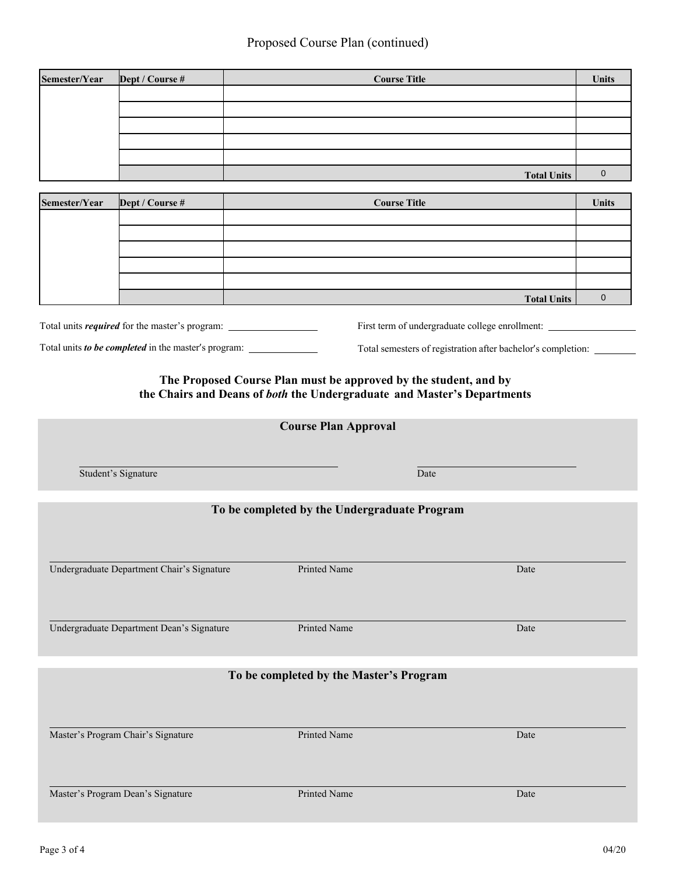| Semester/Year | Dept / Course # | <b>Course Title</b> | <b>Units</b> |
|---------------|-----------------|---------------------|--------------|
|               |                 |                     |              |
|               |                 |                     |              |
|               |                 |                     |              |
|               |                 |                     |              |
|               |                 |                     |              |
|               |                 | <b>Total Units</b>  |              |

| Semester/Year | Dept / Course # | <b>Course Title</b> | <b>Units</b> |
|---------------|-----------------|---------------------|--------------|
|               |                 |                     |              |
|               |                 |                     |              |
|               |                 |                     |              |
|               |                 |                     |              |
|               |                 |                     |              |
|               |                 | <b>Total Units</b>  |              |

Total units *required* for the master's program:

Total units *to be completed* in the master's program:

**The Proposed Course Plan must be approved by the student, and by the Chairs and Deans of** *both* **the Undergraduate and Master's Departments**

First term of undergraduate college enrollment: \_\_\_\_\_\_\_\_\_\_\_\_\_\_\_\_\_\_\_\_\_\_\_\_\_\_\_\_\_\_\_\_\_

Total semesters of registration after bachelor's completion:

| <b>Course Plan Approval</b>                |                                              |      |  |  |
|--------------------------------------------|----------------------------------------------|------|--|--|
| Student's Signature                        |                                              | Date |  |  |
|                                            | To be completed by the Undergraduate Program |      |  |  |
|                                            |                                              |      |  |  |
| Undergraduate Department Chair's Signature | Printed Name                                 | Date |  |  |
| Undergraduate Department Dean's Signature  | Printed Name                                 | Date |  |  |
| To be completed by the Master's Program    |                                              |      |  |  |
| Master's Program Chair's Signature         | Printed Name                                 | Date |  |  |
|                                            |                                              |      |  |  |
| Master's Program Dean's Signature          | Printed Name                                 | Date |  |  |